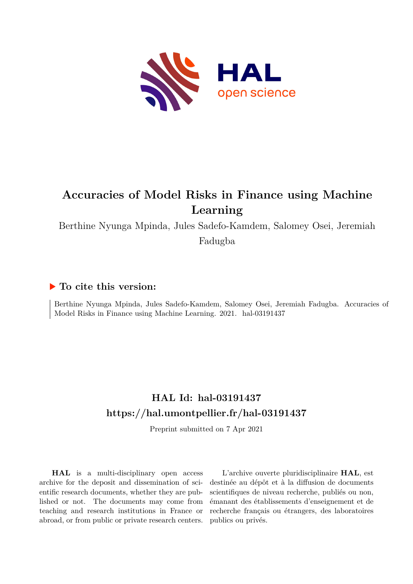

# **Accuracies of Model Risks in Finance using Machine Learning**

Berthine Nyunga Mpinda, Jules Sadefo-Kamdem, Salomey Osei, Jeremiah

Fadugba

# **To cite this version:**

Berthine Nyunga Mpinda, Jules Sadefo-Kamdem, Salomey Osei, Jeremiah Fadugba. Accuracies of Model Risks in Finance using Machine Learning. 2021. hal-03191437

# **HAL Id: hal-03191437 <https://hal.umontpellier.fr/hal-03191437>**

Preprint submitted on 7 Apr 2021

**HAL** is a multi-disciplinary open access archive for the deposit and dissemination of scientific research documents, whether they are published or not. The documents may come from teaching and research institutions in France or abroad, or from public or private research centers.

L'archive ouverte pluridisciplinaire **HAL**, est destinée au dépôt et à la diffusion de documents scientifiques de niveau recherche, publiés ou non, émanant des établissements d'enseignement et de recherche français ou étrangers, des laboratoires publics ou privés.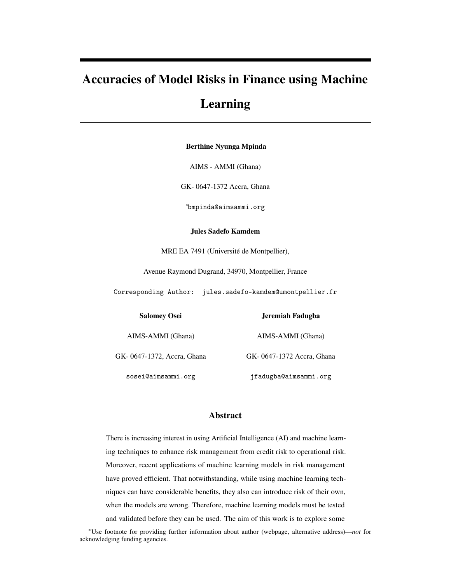# Accuracies of Model Risks in Finance using Machine

# Learning

Berthine Nyunga Mpinda

AIMS - AMMI (Ghana)

GK- 0647-1372 Accra, Ghana

<sup>∗</sup>bmpinda@aimsammi.org

Jules Sadefo Kamdem

MRE EA 7491 (Université de Montpellier),

Avenue Raymond Dugrand, 34970, Montpellier, France

Corresponding Author: jules.sadefo-kamdem@umontpellier.fr

Salomey Osei

Jeremiah Fadugba

AIMS-AMMI (Ghana)

GK- 0647-1372, Accra, Ghana

AIMS-AMMI (Ghana)

GK- 0647-1372 Accra, Ghana

sosei@aimsammi.org

jfadugba@aimsammi.org

# Abstract

There is increasing interest in using Artificial Intelligence (AI) and machine learning techniques to enhance risk management from credit risk to operational risk. Moreover, recent applications of machine learning models in risk management have proved efficient. That notwithstanding, while using machine learning techniques can have considerable benefits, they also can introduce risk of their own, when the models are wrong. Therefore, machine learning models must be tested and validated before they can be used. The aim of this work is to explore some

<sup>∗</sup>Use footnote for providing further information about author (webpage, alternative address)—*not* for acknowledging funding agencies.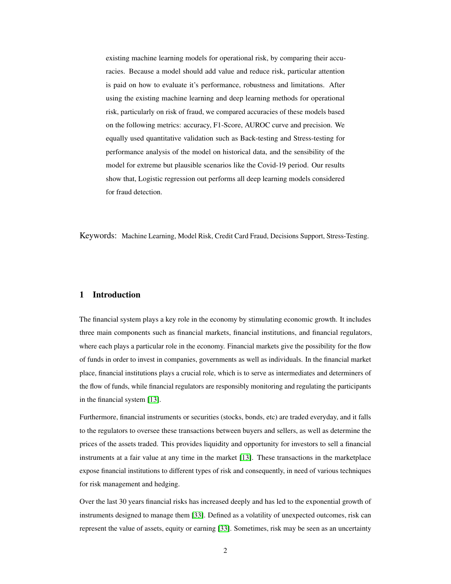existing machine learning models for operational risk, by comparing their accuracies. Because a model should add value and reduce risk, particular attention is paid on how to evaluate it's performance, robustness and limitations. After using the existing machine learning and deep learning methods for operational risk, particularly on risk of fraud, we compared accuracies of these models based on the following metrics: accuracy, F1-Score, AUROC curve and precision. We equally used quantitative validation such as Back-testing and Stress-testing for performance analysis of the model on historical data, and the sensibility of the model for extreme but plausible scenarios like the Covid-19 period. Our results show that, Logistic regression out performs all deep learning models considered for fraud detection.

Keywords: Machine Learning, Model Risk, Credit Card Fraud, Decisions Support, Stress-Testing.

## 1 Introduction

The financial system plays a key role in the economy by stimulating economic growth. It includes three main components such as financial markets, financial institutions, and financial regulators, where each plays a particular role in the economy. Financial markets give the possibility for the flow of funds in order to invest in companies, governments as well as individuals. In the financial market place, financial institutions plays a crucial role, which is to serve as intermediates and determiners of the flow of funds, while financial regulators are responsibly monitoring and regulating the participants in the financial system [13].

Furthermore, financial instruments or securities (stocks, bonds, etc) are traded everyday, and it falls to the regulators to oversee these transactions between buyers and sellers, as well as determine the prices of the assets traded. This provides liquidity and opportunity for investors to sell a financial instruments at a fair value at any time in the market [13]. These transactions in the marketplace expose financial institutions to different types of risk and consequently, in need of various techniques for risk management and hedging.

Over the last 30 years financial risks has increased deeply and has led to the exponential growth of instruments designed to manage them [33]. Defined as a volatility of unexpected outcomes, risk can represent the value of assets, equity or earning [33]. Sometimes, risk may be seen as an uncertainty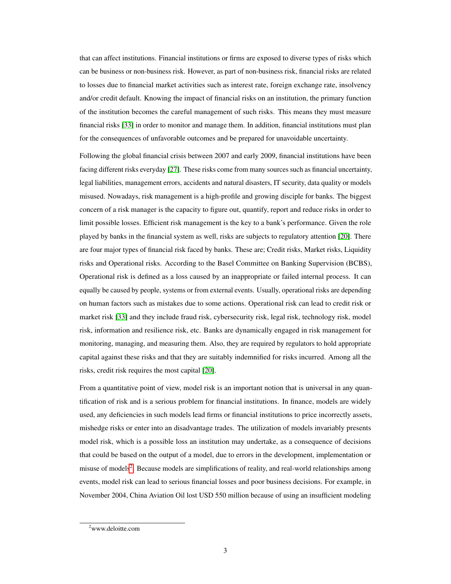that can affect institutions. Financial institutions or firms are exposed to diverse types of risks which can be business or non-business risk. However, as part of non-business risk, financial risks are related to losses due to financial market activities such as interest rate, foreign exchange rate, insolvency and/or credit default. Knowing the impact of financial risks on an institution, the primary function of the institution becomes the careful management of such risks. This means they must measure financial risks [33] in order to monitor and manage them. In addition, financial institutions must plan for the consequences of unfavorable outcomes and be prepared for unavoidable uncertainty.

Following the global financial crisis between 2007 and early 2009, financial institutions have been facing different risks everyday [27]. These risks come from many sources such as financial uncertainty, legal liabilities, management errors, accidents and natural disasters, IT security, data quality or models misused. Nowadays, risk management is a high-profile and growing disciple for banks. The biggest concern of a risk manager is the capacity to figure out, quantify, report and reduce risks in order to limit possible losses. Efficient risk management is the key to a bank's performance. Given the role played by banks in the financial system as well, risks are subjects to regulatory attention [20]. There are four major types of financial risk faced by banks. These are; Credit risks, Market risks, Liquidity risks and Operational risks. According to the Basel Committee on Banking Supervision (BCBS), Operational risk is defined as a loss caused by an inappropriate or failed internal process. It can equally be caused by people, systems or from external events. Usually, operational risks are depending on human factors such as mistakes due to some actions. Operational risk can lead to credit risk or market risk [33] and they include fraud risk, cybersecurity risk, legal risk, technology risk, model risk, information and resilience risk, etc. Banks are dynamically engaged in risk management for monitoring, managing, and measuring them. Also, they are required by regulators to hold appropriate capital against these risks and that they are suitably indemnified for risks incurred. Among all the risks, credit risk requires the most capital [20].

From a quantitative point of view, model risk is an important notion that is universal in any quantification of risk and is a serious problem for financial institutions. In finance, models are widely used, any deficiencies in such models lead firms or financial institutions to price incorrectly assets, mishedge risks or enter into an disadvantage trades. The utilization of models invariably presents model risk, which is a possible loss an institution may undertake, as a consequence of decisions that could be based on the output of a model, due to errors in the development, implementation or misuse of models<sup>2</sup>. Because models are simplifications of reality, and real-world relationships among events, model risk can lead to serious financial losses and poor business decisions. For example, in November 2004, China Aviation Oil lost USD 550 million because of using an insufficient modeling

 $2$ www.deloitte.com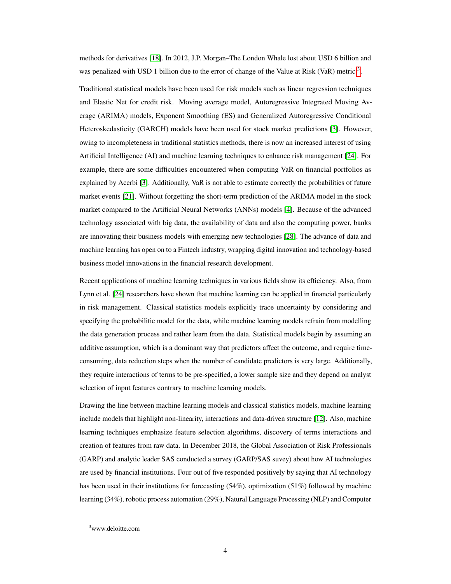methods for derivatives [18]. In 2012, J.P. Morgan–The London Whale lost about USD 6 billion and was penalized with USD 1 billion due to the error of change of the Value at Risk (VaR) metric  $3$ .

Traditional statistical models have been used for risk models such as linear regression techniques and Elastic Net for credit risk. Moving average model, Autoregressive Integrated Moving Average (ARIMA) models, Exponent Smoothing (ES) and Generalized Autoregressive Conditional Heteroskedasticity (GARCH) models have been used for stock market predictions [3]. However, owing to incompleteness in traditional statistics methods, there is now an increased interest of using Artificial Intelligence (AI) and machine learning techniques to enhance risk management [24]. For example, there are some difficulties encountered when computing VaR on financial portfolios as explained by Acerbi [3]. Additionally, VaR is not able to estimate correctly the probabilities of future market events [21]. Without forgetting the short-term prediction of the ARIMA model in the stock market compared to the Artificial Neural Networks (ANNs) models [4]. Because of the advanced technology associated with big data, the availability of data and also the computing power, banks are innovating their business models with emerging new technologies [28]. The advance of data and machine learning has open on to a Fintech industry, wrapping digital innovation and technology-based business model innovations in the financial research development.

Recent applications of machine learning techniques in various fields show its efficiency. Also, from Lynn et al. [24] researchers have shown that machine learning can be applied in financial particularly in risk management. Classical statistics models explicitly trace uncertainty by considering and specifying the probabilitic model for the data, while machine learning models refrain from modelling the data generation process and rather learn from the data. Statistical models begin by assuming an additive assumption, which is a dominant way that predictors affect the outcome, and require timeconsuming, data reduction steps when the number of candidate predictors is very large. Additionally, they require interactions of terms to be pre-specified, a lower sample size and they depend on analyst selection of input features contrary to machine learning models.

Drawing the line between machine learning models and classical statistics models, machine learning include models that highlight non-linearity, interactions and data-driven structure [12]. Also, machine learning techniques emphasize feature selection algorithms, discovery of terms interactions and creation of features from raw data. In December 2018, the Global Association of Risk Professionals (GARP) and analytic leader SAS conducted a survey (GARP/SAS suvey) about how AI technologies are used by financial institutions. Four out of five responded positively by saying that AI technology has been used in their institutions for forecasting (54%), optimization (51%) followed by machine learning (34%), robotic process automation (29%), Natural Language Processing (NLP) and Computer

<sup>&</sup>lt;sup>3</sup>www.deloitte.com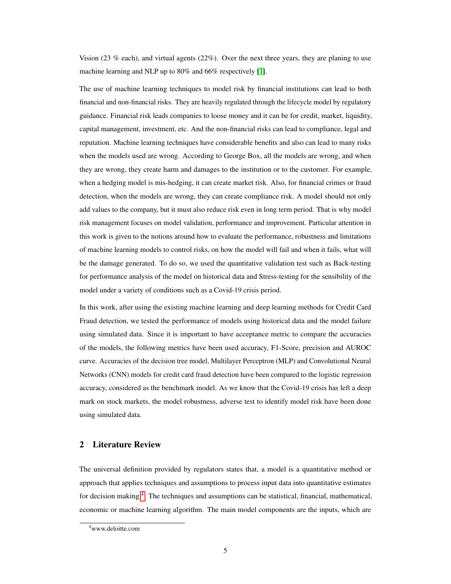Vision (23 % each), and virtual agents (22%). Over the next three years, they are planing to use machine learning and NLP up to 80% and 66% respectively [1].

The use of machine learning techniques to model risk by financial institutions can lead to both financial and non-financial risks. They are heavily regulated through the lifecycle model by regulatory guidance. Financial risk leads companies to loose money and it can be for credit, market, liquidity, capital management, investment, etc. And the non-financial risks can lead to compliance, legal and reputation. Machine learning techniques have considerable benefits and also can lead to many risks when the models used are wrong. According to George Box, all the models are wrong, and when they are wrong, they create harm and damages to the institution or to the customer. For example, when a hedging model is mis-hedging, it can create market risk. Also, for financial crimes or fraud detection, when the models are wrong, they can create compliance risk. A model should not only add values to the company, but it must also reduce risk even in long term period. That is why model risk management focuses on model validation, performance and improvement. Particular attention in this work is given to the notions around how to evaluate the performance, robustness and limitations of machine learning models to control risks, on how the model will fail and when it fails, what will be the damage generated. To do so, we used the quantitative validation test such as Back-testing for performance analysis of the model on historical data and Stress-testing for the sensibility of the model under a variety of conditions such as a Covid-19 crisis period.

In this work, after using the existing machine learning and deep learning methods for Credit Card Fraud detection, we tested the performance of models using historical data and the model failure using simulated data. Since it is important to have acceptance metric to compare the accuracies of the models, the following metrics have been used accuracy, F1-Score, precision and AUROC curve. Accuracies of the decision tree model, Multilayer Perceptron (MLP) and Convolutional Neural Networks (CNN) models for credit card fraud detection have been compared to the logistic regression accuracy, considered as the benchmark model. As we know that the Covid-19 crisis has left a deep mark on stock markets, the model robustness, adverse test to identify model risk have been done using simulated data.

# 2 Literature Review

The universal definition provided by regulators states that, a model is a quantitative method or approach that applies techniques and assumptions to process input data into quantitative estimates for decision making <sup>4</sup>. The techniques and assumptions can be statistical, financial, mathematical, economic or machine learning algorithm. The main model components are the inputs, which are

<sup>4</sup>www.deloitte.com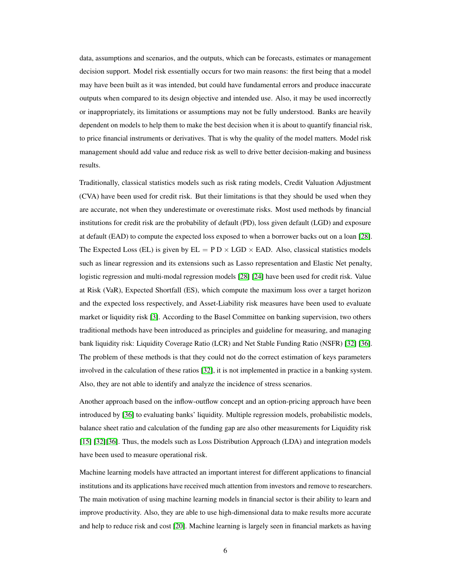data, assumptions and scenarios, and the outputs, which can be forecasts, estimates or management decision support. Model risk essentially occurs for two main reasons: the first being that a model may have been built as it was intended, but could have fundamental errors and produce inaccurate outputs when compared to its design objective and intended use. Also, it may be used incorrectly or inappropriately, its limitations or assumptions may not be fully understood. Banks are heavily dependent on models to help them to make the best decision when it is about to quantify financial risk, to price financial instruments or derivatives. That is why the quality of the model matters. Model risk management should add value and reduce risk as well to drive better decision-making and business results.

Traditionally, classical statistics models such as risk rating models, Credit Valuation Adjustment (CVA) have been used for credit risk. But their limitations is that they should be used when they are accurate, not when they underestimate or overestimate risks. Most used methods by financial institutions for credit risk are the probability of default (PD), loss given default (LGD) and exposure at default (EAD) to compute the expected loss exposed to when a borrower backs out on a loan [28]. The Expected Loss (EL) is given by  $EL = P D \times LGD \times EAD$ . Also, classical statistics models such as linear regression and its extensions such as Lasso representation and Elastic Net penalty, logistic regression and multi-modal regression models [28] [24] have been used for credit risk. Value at Risk (VaR), Expected Shortfall (ES), which compute the maximum loss over a target horizon and the expected loss respectively, and Asset-Liability risk measures have been used to evaluate market or liquidity risk [3]. According to the Basel Committee on banking supervision, two others traditional methods have been introduced as principles and guideline for measuring, and managing bank liquidity risk: Liquidity Coverage Ratio (LCR) and Net Stable Funding Ratio (NSFR) [32] [36]. The problem of these methods is that they could not do the correct estimation of keys parameters involved in the calculation of these ratios [32], it is not implemented in practice in a banking system. Also, they are not able to identify and analyze the incidence of stress scenarios.

Another approach based on the inflow-outflow concept and an option-pricing approach have been introduced by [36] to evaluating banks' liquidity. Multiple regression models, probabilistic models, balance sheet ratio and calculation of the funding gap are also other measurements for Liquidity risk [15] [32][36]. Thus, the models such as Loss Distribution Approach (LDA) and integration models have been used to measure operational risk.

Machine learning models have attracted an important interest for different applications to financial institutions and its applications have received much attention from investors and remove to researchers. The main motivation of using machine learning models in financial sector is their ability to learn and improve productivity. Also, they are able to use high-dimensional data to make results more accurate and help to reduce risk and cost [20]. Machine learning is largely seen in financial markets as having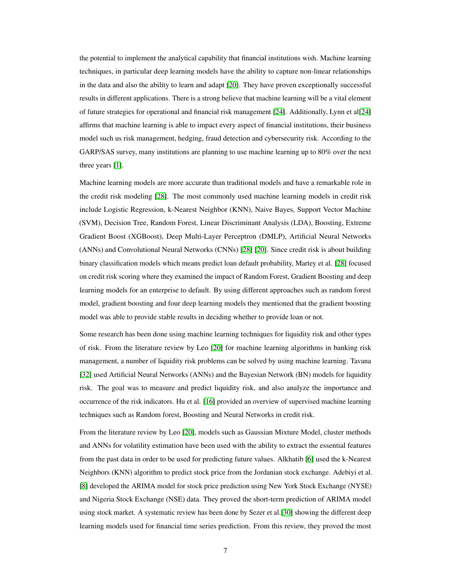the potential to implement the analytical capability that financial institutions wish. Machine learning techniques, in particular deep learning models have the ability to capture non-linear relationships in the data and also the ability to learn and adapt [20]. They have proven exceptionally successful results in different applications. There is a strong believe that machine learning will be a vital element of future strategies for operational and financial risk management [24]. Additionally, Lynn et al[24] affirms that machine learning is able to impact every aspect of financial institutions, their business model such us risk management, hedging, fraud detection and cybersecurity risk. According to the GARP/SAS survey, many institutions are planning to use machine learning up to 80% over the next three years [1].

Machine learning models are more accurate than traditional models and have a remarkable role in the credit risk modeling [28]. The most commonly used machine learning models in credit risk include Logistic Regression, k-Nearest Neighbor (KNN), Naive Bayes, Support Vector Machine (SVM), Decision Tree, Random Forest, Linear Discriminant Analysis (LDA), Boosting, Extreme Gradient Boost (XGBoost), Deep Multi-Layer Perceptron (DMLP), Artificial Neural Networks (ANNs) and Convolutional Neural Networks (CNNs) [28] [20]. Since credit risk is about building binary classification models which means predict loan default probability, Martey et al. [28] focused on credit risk scoring where they examined the impact of Random Forest, Gradient Boosting and deep learning models for an enterprise to default. By using different approaches such as random forest model, gradient boosting and four deep learning models they mentioned that the gradient boosting model was able to provide stable results in deciding whether to provide loan or not.

Some research has been done using machine learning techniques for liquidity risk and other types of risk. From the literature review by Leo [20] for machine learning algorithms in banking risk management, a number of liquidity risk problems can be solved by using machine learning. Tavana [32] used Artificial Neural Networks (ANNs) and the Bayesian Network (BN) models for liquidity risk. The goal was to measure and predict liquidity risk, and also analyze the importance and occurrence of the risk indicators. Hu et al. [16] provided an overview of supervised machine learning techniques such as Random forest, Boosting and Neural Networks in credit risk.

From the literature review by Leo [20], models such as Gaussian Mixture Model, cluster methods and ANNs for volatility estimation have been used with the ability to extract the essential features from the past data in order to be used for predicting future values. Alkhatib [6] used the k-Nearest Neighbors (KNN) algorithm to predict stock price from the Jordanian stock exchange. Adebiyi et al. [8] developed the ARIMA model for stock price prediction using New York Stock Exchange (NYSE) and Nigeria Stock Exchange (NSE) data. They proved the short-term prediction of ARIMA model using stock market. A systematic review has been done by Sezer et al.[30] showing the different deep learning models used for financial time series prediction. From this review, they proved the most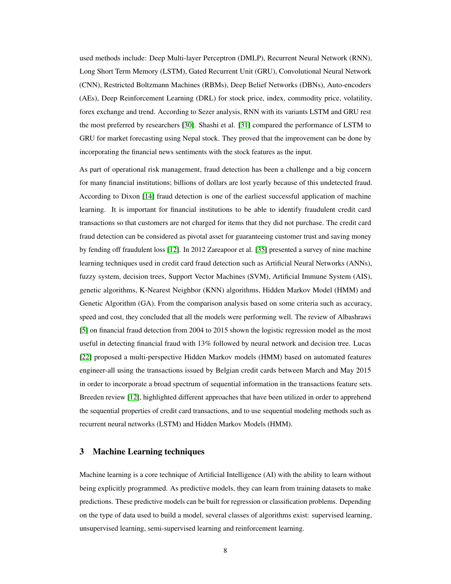used methods include: Deep Multi-layer Perceptron (DMLP), Recurrent Neural Network (RNN), Long Short Term Memory (LSTM), Gated Recurrent Unit (GRU), Convolutional Neural Network (CNN), Restricted Boltzmann Machines (RBMs), Deep Belief Networks (DBNs), Auto-encoders (AEs), Deep Reinforcement Learning (DRL) for stock price, index, commodity price, volatility, forex exchange and trend. According to Sezer analysis, RNN with its variants LSTM and GRU rest the most preferred by researchers [30]. Shashi et al. [31] compared the performance of LSTM to GRU for market forecasting using Nepal stock. They proved that the improvement can be done by incorporating the financial news sentiments with the stock features as the input.

As part of operational risk management, fraud detection has been a challenge and a big concern for many financial institutions; billions of dollars are lost yearly because of this undetected fraud. According to Dixon [14] fraud detection is one of the earliest successful application of machine learning. It is important for financial institutions to be able to identify fraudulent credit card transactions so that customers are not charged for items that they did not purchase. The credit card fraud detection can be considered as pivotal asset for guaranteeing customer trust and saving money by fending off fraudulent loss [12]. In 2012 Zareapoor et al. [35] presented a survey of nine machine learning techniques used in credit card fraud detection such as Artificial Neural Networks (ANNs), fuzzy system, decision trees, Support Vector Machines (SVM), Artificial Immune System (AIS), genetic algorithms, K-Nearest Neighbor (KNN) algorithms, Hidden Markov Model (HMM) and Genetic Algorithm (GA). From the comparison analysis based on some criteria such as accuracy, speed and cost, they concluded that all the models were performing well. The review of Albashrawi [5] on financial fraud detection from 2004 to 2015 shown the logistic regression model as the most useful in detecting financial fraud with 13% followed by neural network and decision tree. Lucas [22] proposed a multi-perspective Hidden Markov models (HMM) based on automated features engineer-all using the transactions issued by Belgian credit cards between March and May 2015 in order to incorporate a broad spectrum of sequential information in the transactions feature sets. Breeden review [12], highlighted different approaches that have been utilized in order to apprehend the sequential properties of credit card transactions, and to use sequential modeling methods such as recurrent neural networks (LSTM) and Hidden Markov Models (HMM).

# 3 Machine Learning techniques

Machine learning is a core technique of Artificial Intelligence (AI) with the ability to learn without being explicitly programmed. As predictive models, they can learn from training datasets to make predictions. These predictive models can be built for regression or classification problems. Depending on the type of data used to build a model, several classes of algorithms exist: supervised learning, unsupervised learning, semi-supervised learning and reinforcement learning.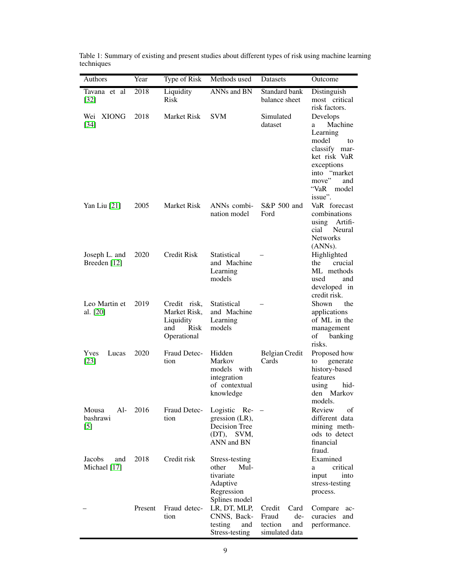| Authors                           | Year    | Type of Risk                                                                   | Methods used                                                                              | Datasets                                                           | Outcome                                                                                                                                                        |
|-----------------------------------|---------|--------------------------------------------------------------------------------|-------------------------------------------------------------------------------------------|--------------------------------------------------------------------|----------------------------------------------------------------------------------------------------------------------------------------------------------------|
| Tavana et al<br>$[32]$            | 2018    | Liquidity<br><b>Risk</b>                                                       | ANNs and BN                                                                               | Standard bank<br>balance sheet                                     | Distinguish<br>most critical<br>risk factors.                                                                                                                  |
| Wei XIONG<br>$[34]$               | 2018    | <b>Market Risk</b>                                                             | <b>SVM</b>                                                                                | Simulated<br>dataset                                               | Develops<br>Machine<br>a<br>Learning<br>model<br>to<br>classify mar-<br>ket risk VaR<br>exceptions<br>into "market<br>move"<br>and<br>"VaR<br>model<br>issue". |
| Yan Liu [21]                      | 2005    | <b>Market Risk</b>                                                             | ANN <sub>s</sub> combi-<br>nation model                                                   | S&P 500 and<br>Ford                                                | VaR forecast<br>combinations<br>using Artifi-<br>Neural<br>cial<br><b>Networks</b><br>(ANNs).                                                                  |
| Joseph L. and<br>Breeden $[12]$   | 2020    | <b>Credit Risk</b>                                                             | Statistical<br>and Machine<br>Learning<br>models                                          |                                                                    | Highlighted<br>crucial<br>the<br>ML methods<br>used<br>and<br>developed in<br>credit risk.                                                                     |
| Leo Martin et<br>al. [20]         | 2019    | Credit risk,<br>Market Risk,<br>Liquidity<br><b>Risk</b><br>and<br>Operational | Statistical<br>and Machine<br>Learning<br>models                                          |                                                                    | the<br>Shown<br>applications<br>of ML in the<br>management<br>of<br>banking<br>risks.                                                                          |
| Yves<br>Lucas<br>$[23]$           | 2020    | Fraud Detec-<br>tion                                                           | Hidden<br>Markov<br>models with<br>integration<br>of contextual<br>knowledge              | Belgian Credit<br>Cards                                            | Proposed how<br>generate<br>to<br>history-based<br>features<br>hid-<br>using<br>den Markov<br>models.                                                          |
| Mousa<br>Al-<br>bashrawi<br>$[5]$ | 2016    | Fraud Detec-<br>tion                                                           | Logistic Re-<br>gression (LR),<br>Decision Tree<br>(DT), SVM,<br>ANN and BN               |                                                                    | Review<br>οf<br>different data<br>mining meth-<br>ods to detect<br>financial<br>fraud.                                                                         |
| Jacobs<br>and<br>Michael [17]     | 2018    | Credit risk                                                                    | Stress-testing<br>other<br>$Mul-$<br>tivariate<br>Adaptive<br>Regression<br>Splines model |                                                                    | Examined<br>critical<br>a<br>input<br>into<br>stress-testing<br>process.                                                                                       |
|                                   | Present | Fraud detec-<br>tion                                                           | LR, DT, MLP,<br>CNNS, Back-<br>testing<br>and<br>Stress-testing                           | Credit<br>Card<br>Fraud<br>de-<br>tection<br>and<br>simulated data | Compare<br>ac-<br>curacies and<br>performance.                                                                                                                 |

Table 1: Summary of existing and present studies about different types of risk using machine learning techniques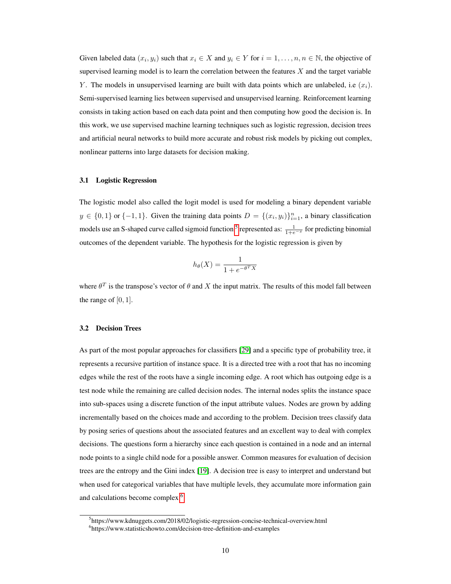Given labeled data  $(x_i, y_i)$  such that  $x_i \in X$  and  $y_i \in Y$  for  $i = 1, ..., n, n \in \mathbb{N}$ , the objective of supervised learning model is to learn the correlation between the features  $X$  and the target variable Y. The models in unsupervised learning are built with data points which are unlabeled, i.e  $(x_i)$ . Semi-supervised learning lies between supervised and unsupervised learning. Reinforcement learning consists in taking action based on each data point and then computing how good the decision is. In this work, we use supervised machine learning techniques such as logistic regression, decision trees and artificial neural networks to build more accurate and robust risk models by picking out complex, nonlinear patterns into large datasets for decision making.

#### 3.1 Logistic Regression

The logistic model also called the logit model is used for modeling a binary dependent variable  $y \in \{0,1\}$  or  $\{-1,1\}$ . Given the training data points  $D = \{(x_i, y_i)\}_{i=1}^n$ , a binary classification models use an S-shaped curve called sigmoid function <sup>5</sup> represented as:  $\frac{1}{1+e^{-x}}$  for predicting binomial outcomes of the dependent variable. The hypothesis for the logistic regression is given by

$$
h_{\theta}(X) = \frac{1}{1 + e^{-\theta^T X}}
$$

where  $\theta^T$  is the transpose's vector of  $\theta$  and X the input matrix. The results of this model fall between the range of  $[0, 1]$ .

#### 3.2 Decision Trees

As part of the most popular approaches for classifiers [29] and a specific type of probability tree, it represents a recursive partition of instance space. It is a directed tree with a root that has no incoming edges while the rest of the roots have a single incoming edge. A root which has outgoing edge is a test node while the remaining are called decision nodes. The internal nodes splits the instance space into sub-spaces using a discrete function of the input attribute values. Nodes are grown by adding incrementally based on the choices made and according to the problem. Decision trees classify data by posing series of questions about the associated features and an excellent way to deal with complex decisions. The questions form a hierarchy since each question is contained in a node and an internal node points to a single child node for a possible answer. Common measures for evaluation of decision trees are the entropy and the Gini index [19]. A decision tree is easy to interpret and understand but when used for categorical variables that have multiple levels, they accumulate more information gain and calculations become complex <sup>6</sup>.

<sup>5</sup> https://www.kdnuggets.com/2018/02/logistic-regression-concise-technical-overview.html 6 https://www.statisticshowto.com/decision-tree-definition-and-examples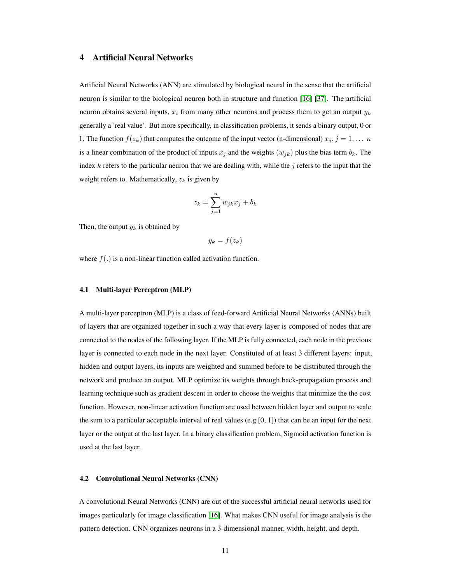# 4 Artificial Neural Networks

Artificial Neural Networks (ANN) are stimulated by biological neural in the sense that the artificial neuron is similar to the biological neuron both in structure and function [16] [37]. The artificial neuron obtains several inputs,  $x_i$  from many other neurons and process them to get an output  $y_k$ generally a 'real value'. But more specifically, in classification problems, it sends a binary output, 0 or 1. The function  $f(z_k)$  that computes the outcome of the input vector (n-dimensional)  $x_j$ ,  $j = 1, \ldots, n$ is a linear combination of the product of inputs  $x_j$  and the weights  $(w_{jk})$  plus the bias term  $b_k$ . The index  $k$  refers to the particular neuron that we are dealing with, while the  $j$  refers to the input that the weight refers to. Mathematically,  $z_k$  is given by

$$
z_k = \sum_{j=1}^n w_{jk} x_j + b_k
$$

Then, the output  $y_k$  is obtained by

$$
y_k = f(z_k)
$$

where  $f(.)$  is a non-linear function called activation function.

#### 4.1 Multi-layer Perceptron (MLP)

A multi-layer perceptron (MLP) is a class of feed-forward Artificial Neural Networks (ANNs) built of layers that are organized together in such a way that every layer is composed of nodes that are connected to the nodes of the following layer. If the MLP is fully connected, each node in the previous layer is connected to each node in the next layer. Constituted of at least 3 different layers: input, hidden and output layers, its inputs are weighted and summed before to be distributed through the network and produce an output. MLP optimize its weights through back-propagation process and learning technique such as gradient descent in order to choose the weights that minimize the the cost function. However, non-linear activation function are used between hidden layer and output to scale the sum to a particular acceptable interval of real values (e.g  $[0, 1]$ ) that can be an input for the next layer or the output at the last layer. In a binary classification problem, Sigmoid activation function is used at the last layer.

#### 4.2 Convolutional Neural Networks (CNN)

A convolutional Neural Networks (CNN) are out of the successful artificial neural networks used for images particularly for image classification [16]. What makes CNN useful for image analysis is the pattern detection. CNN organizes neurons in a 3-dimensional manner, width, height, and depth.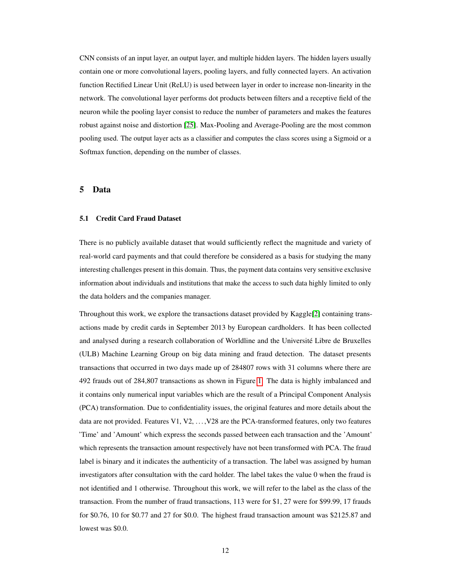CNN consists of an input layer, an output layer, and multiple hidden layers. The hidden layers usually contain one or more convolutional layers, pooling layers, and fully connected layers. An activation function Rectified Linear Unit (ReLU) is used between layer in order to increase non-linearity in the network. The convolutional layer performs dot products between filters and a receptive field of the neuron while the pooling layer consist to reduce the number of parameters and makes the features robust against noise and distortion [25]. Max-Pooling and Average-Pooling are the most common pooling used. The output layer acts as a classifier and computes the class scores using a Sigmoid or a Softmax function, depending on the number of classes.

#### 5 Data

## 5.1 Credit Card Fraud Dataset

There is no publicly available dataset that would sufficiently reflect the magnitude and variety of real-world card payments and that could therefore be considered as a basis for studying the many interesting challenges present in this domain. Thus, the payment data contains very sensitive exclusive information about individuals and institutions that make the access to such data highly limited to only the data holders and the companies manager.

Throughout this work, we explore the transactions dataset provided by Kaggle[2] containing transactions made by credit cards in September 2013 by European cardholders. It has been collected and analysed during a research collaboration of Worldline and the Université Libre de Bruxelles (ULB) Machine Learning Group on big data mining and fraud detection. The dataset presents transactions that occurred in two days made up of 284807 rows with 31 columns where there are 492 frauds out of 284,807 transactions as shown in Figure 1. The data is highly imbalanced and it contains only numerical input variables which are the result of a Principal Component Analysis (PCA) transformation. Due to confidentiality issues, the original features and more details about the data are not provided. Features V1, V2, . . . ,V28 are the PCA-transformed features, only two features 'Time' and 'Amount' which express the seconds passed between each transaction and the 'Amount' which represents the transaction amount respectively have not been transformed with PCA. The fraud label is binary and it indicates the authenticity of a transaction. The label was assigned by human investigators after consultation with the card holder. The label takes the value 0 when the fraud is not identified and 1 otherwise. Throughout this work, we will refer to the label as the class of the transaction. From the number of fraud transactions, 113 were for \$1, 27 were for \$99.99, 17 frauds for \$0.76, 10 for \$0.77 and 27 for \$0.0. The highest fraud transaction amount was \$2125.87 and lowest was \$0.0.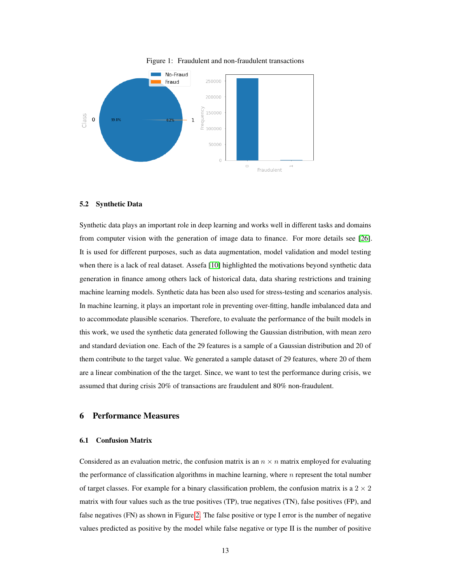

#### Figure 1: Fraudulent and non-fraudulent transactions

#### 5.2 Synthetic Data

Synthetic data plays an important role in deep learning and works well in different tasks and domains from computer vision with the generation of image data to finance. For more details see [26]. It is used for different purposes, such as data augmentation, model validation and model testing when there is a lack of real dataset. Assefa [10] highlighted the motivations beyond synthetic data generation in finance among others lack of historical data, data sharing restrictions and training machine learning models. Synthetic data has been also used for stress-testing and scenarios analysis. In machine learning, it plays an important role in preventing over-fitting, handle imbalanced data and to accommodate plausible scenarios. Therefore, to evaluate the performance of the built models in this work, we used the synthetic data generated following the Gaussian distribution, with mean zero and standard deviation one. Each of the 29 features is a sample of a Gaussian distribution and 20 of them contribute to the target value. We generated a sample dataset of 29 features, where 20 of them are a linear combination of the the target. Since, we want to test the performance during crisis, we assumed that during crisis 20% of transactions are fraudulent and 80% non-fraudulent.

# 6 Performance Measures

#### 6.1 Confusion Matrix

Considered as an evaluation metric, the confusion matrix is an  $n \times n$  matrix employed for evaluating the performance of classification algorithms in machine learning, where  $n$  represent the total number of target classes. For example for a binary classification problem, the confusion matrix is a  $2 \times 2$ matrix with four values such as the true positives (TP), true negatives (TN), false positives (FP), and false negatives (FN) as shown in Figure 2. The false positive or type I error is the number of negative values predicted as positive by the model while false negative or type II is the number of positive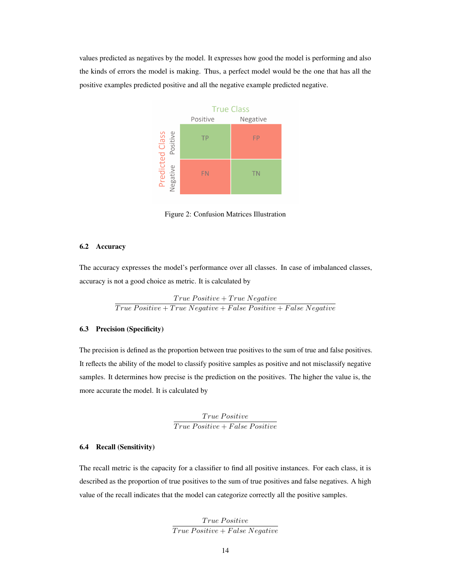values predicted as negatives by the model. It expresses how good the model is performing and also the kinds of errors the model is making. Thus, a perfect model would be the one that has all the positive examples predicted positive and all the negative example predicted negative.



Figure 2: Confusion Matrices Illustration

#### 6.2 Accuracy

The accuracy expresses the model's performance over all classes. In case of imbalanced classes, accuracy is not a good choice as metric. It is calculated by

> $\label{eq:3} True \ Positive + True \ Negative$  $\overline{True \ Positive + True \ Negative + False \ Positive + False \ Negative}$

# 6.3 Precision (Specificity)

The precision is defined as the proportion between true positives to the sum of true and false positives. It reflects the ability of the model to classify positive samples as positive and not misclassify negative samples. It determines how precise is the prediction on the positives. The higher the value is, the more accurate the model. It is calculated by

> True Positive  $True Positive + False Positive$ </u>

#### 6.4 Recall (Sensitivity)

The recall metric is the capacity for a classifier to find all positive instances. For each class, it is described as the proportion of true positives to the sum of true positives and false negatives. A high value of the recall indicates that the model can categorize correctly all the positive samples.

> $True$  Positive  $True$   $Positive + False$   $Negative$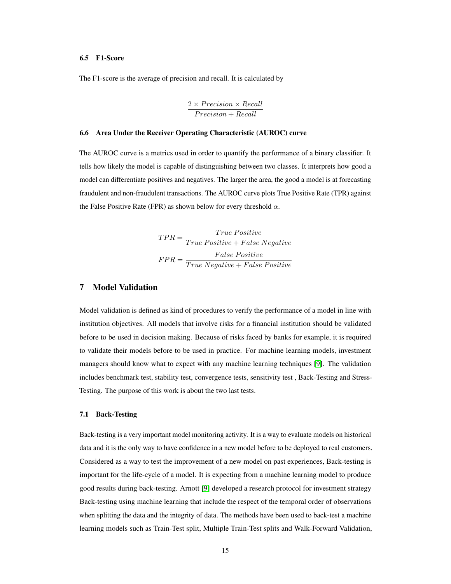#### 6.5 F1-Score

The F1-score is the average of precision and recall. It is calculated by

$$
\frac{2 \times Precision \times Recall}{Precision + Recall}
$$

#### 6.6 Area Under the Receiver Operating Characteristic (AUROC) curve

The AUROC curve is a metrics used in order to quantify the performance of a binary classifier. It tells how likely the model is capable of distinguishing between two classes. It interprets how good a model can differentiate positives and negatives. The larger the area, the good a model is at forecasting fraudulent and non-fraudulent transactions. The AUROC curve plots True Positive Rate (TPR) against the False Positive Rate (FPR) as shown below for every threshold  $\alpha$ .

$$
TPR = \frac{True \ Positive}{True \ Positive + False \ Negative}
$$
  

$$
FPR = \frac{False \ Positive}{True \ Negative + False \ Positive}
$$

# 7 Model Validation

Model validation is defined as kind of procedures to verify the performance of a model in line with institution objectives. All models that involve risks for a financial institution should be validated before to be used in decision making. Because of risks faced by banks for example, it is required to validate their models before to be used in practice. For machine learning models, investment managers should know what to expect with any machine learning techniques [9]. The validation includes benchmark test, stability test, convergence tests, sensitivity test , Back-Testing and Stress-Testing. The purpose of this work is about the two last tests.

#### 7.1 Back-Testing

Back-testing is a very important model monitoring activity. It is a way to evaluate models on historical data and it is the only way to have confidence in a new model before to be deployed to real customers. Considered as a way to test the improvement of a new model on past experiences, Back-testing is important for the life-cycle of a model. It is expecting from a machine learning model to produce good results during back-testing. Arnott [9] developed a research protocol for investment strategy Back-testing using machine learning that include the respect of the temporal order of observations when splitting the data and the integrity of data. The methods have been used to back-test a machine learning models such as Train-Test split, Multiple Train-Test splits and Walk-Forward Validation,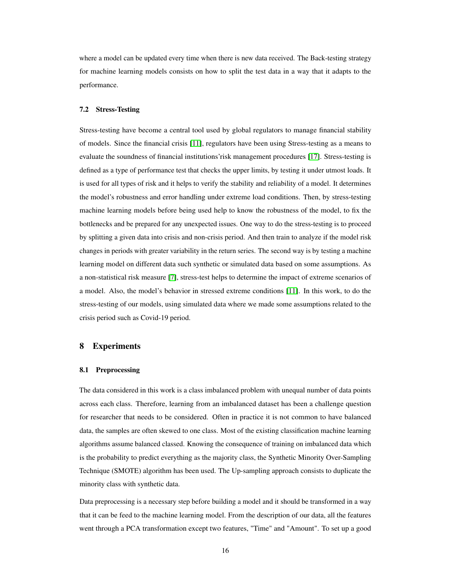where a model can be updated every time when there is new data received. The Back-testing strategy for machine learning models consists on how to split the test data in a way that it adapts to the performance.

#### 7.2 Stress-Testing

Stress-testing have become a central tool used by global regulators to manage financial stability of models. Since the financial crisis [11], regulators have been using Stress-testing as a means to evaluate the soundness of financial institutions'risk management procedures [17]. Stress-testing is defined as a type of performance test that checks the upper limits, by testing it under utmost loads. It is used for all types of risk and it helps to verify the stability and reliability of a model. It determines the model's robustness and error handling under extreme load conditions. Then, by stress-testing machine learning models before being used help to know the robustness of the model, to fix the bottlenecks and be prepared for any unexpected issues. One way to do the stress-testing is to proceed by splitting a given data into crisis and non-crisis period. And then train to analyze if the model risk changes in periods with greater variability in the return series. The second way is by testing a machine learning model on different data such synthetic or simulated data based on some assumptions. As a non-statistical risk measure [7], stress-test helps to determine the impact of extreme scenarios of a model. Also, the model's behavior in stressed extreme conditions [11]. In this work, to do the stress-testing of our models, using simulated data where we made some assumptions related to the crisis period such as Covid-19 period.

## 8 Experiments

#### 8.1 Preprocessing

The data considered in this work is a class imbalanced problem with unequal number of data points across each class. Therefore, learning from an imbalanced dataset has been a challenge question for researcher that needs to be considered. Often in practice it is not common to have balanced data, the samples are often skewed to one class. Most of the existing classification machine learning algorithms assume balanced classed. Knowing the consequence of training on imbalanced data which is the probability to predict everything as the majority class, the Synthetic Minority Over-Sampling Technique (SMOTE) algorithm has been used. The Up-sampling approach consists to duplicate the minority class with synthetic data.

Data preprocessing is a necessary step before building a model and it should be transformed in a way that it can be feed to the machine learning model. From the description of our data, all the features went through a PCA transformation except two features, "Time" and "Amount". To set up a good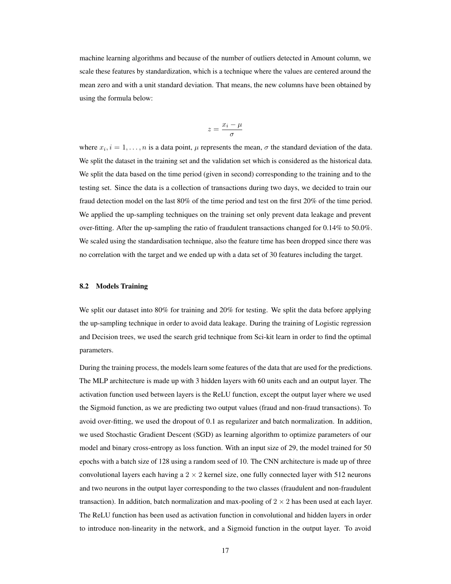machine learning algorithms and because of the number of outliers detected in Amount column, we scale these features by standardization, which is a technique where the values are centered around the mean zero and with a unit standard deviation. That means, the new columns have been obtained by using the formula below:

$$
z=\frac{x_i-\mu}{\sigma}
$$

where  $x_i$ ,  $i = 1, ..., n$  is a data point,  $\mu$  represents the mean,  $\sigma$  the standard deviation of the data. We split the dataset in the training set and the validation set which is considered as the historical data. We split the data based on the time period (given in second) corresponding to the training and to the testing set. Since the data is a collection of transactions during two days, we decided to train our fraud detection model on the last 80% of the time period and test on the first 20% of the time period. We applied the up-sampling techniques on the training set only prevent data leakage and prevent over-fitting. After the up-sampling the ratio of fraudulent transactions changed for 0.14% to 50.0%. We scaled using the standardisation technique, also the feature time has been dropped since there was no correlation with the target and we ended up with a data set of 30 features including the target.

#### 8.2 Models Training

We split our dataset into 80% for training and 20% for testing. We split the data before applying the up-sampling technique in order to avoid data leakage. During the training of Logistic regression and Decision trees, we used the search grid technique from Sci-kit learn in order to find the optimal parameters.

During the training process, the models learn some features of the data that are used for the predictions. The MLP architecture is made up with 3 hidden layers with 60 units each and an output layer. The activation function used between layers is the ReLU function, except the output layer where we used the Sigmoid function, as we are predicting two output values (fraud and non-fraud transactions). To avoid over-fitting, we used the dropout of 0.1 as regularizer and batch normalization. In addition, we used Stochastic Gradient Descent (SGD) as learning algorithm to optimize parameters of our model and binary cross-entropy as loss function. With an input size of 29, the model trained for 50 epochs with a batch size of 128 using a random seed of 10. The CNN architecture is made up of three convolutional layers each having a  $2 \times 2$  kernel size, one fully connected layer with 512 neurons and two neurons in the output layer corresponding to the two classes (fraudulent and non-fraudulent transaction). In addition, batch normalization and max-pooling of  $2 \times 2$  has been used at each layer. The ReLU function has been used as activation function in convolutional and hidden layers in order to introduce non-linearity in the network, and a Sigmoid function in the output layer. To avoid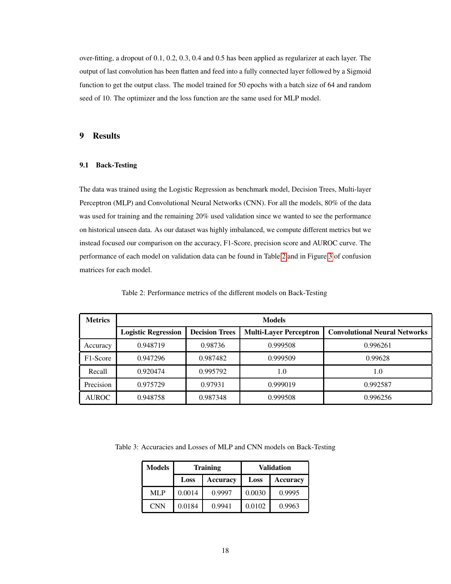over-fitting, a dropout of 0.1, 0.2, 0.3, 0.4 and 0.5 has been applied as regularizer at each layer. The output of last convolution has been flatten and feed into a fully connected layer followed by a Sigmoid function to get the output class. The model trained for 50 epochs with a batch size of 64 and random seed of 10. The optimizer and the loss function are the same used for MLP model.

# 9 Results

#### 9.1 Back-Testing

The data was trained using the Logistic Regression as benchmark model, Decision Trees, Multi-layer Perceptron (MLP) and Convolutional Neural Networks (CNN). For all the models, 80% of the data was used for training and the remaining 20% used validation since we wanted to see the performance on historical unseen data. As our dataset was highly imbalanced, we compute different metrics but we instead focused our comparison on the accuracy, F1-Score, precision score and AUROC curve. The performance of each model on validation data can be found in Table 2 and in Figure 3 of confusion matrices for each model.

| <b>Metrics</b>        | <b>Models</b>              |                       |                               |                                      |
|-----------------------|----------------------------|-----------------------|-------------------------------|--------------------------------------|
|                       | <b>Logistic Regression</b> | <b>Decision Trees</b> | <b>Multi-Layer Perceptron</b> | <b>Convolutional Neural Networks</b> |
| Accuracy              | 0.948719                   | 0.98736               | 0.999508                      | 0.996261                             |
| F <sub>1</sub> -Score | 0.947296                   | 0.987482              | 0.999509                      | 0.99628                              |
| Recall                | 0.920474                   | 0.995792              | 1.0                           | 1.0                                  |
| Precision             | 0.975729                   | 0.97931               | 0.999019                      | 0.992587                             |
| <b>AUROC</b>          | 0.948758                   | 0.987348              | 0.999508                      | 0.996256                             |

Table 2: Performance metrics of the different models on Back-Testing

Table 3: Accuracies and Losses of MLP and CNN models on Back-Testing

| <b>Models</b> |        | <b>Training</b> | Validation |                 |  |
|---------------|--------|-----------------|------------|-----------------|--|
|               | Loss   | Accuracv        | Loss       | <b>Accuracy</b> |  |
| ML P          | 0.0014 | 0.9997          | 0.0030     | 0.9995          |  |
| <b>CNN</b>    | 0.0184 | 0.9941          | 0.0102     | 0.9963          |  |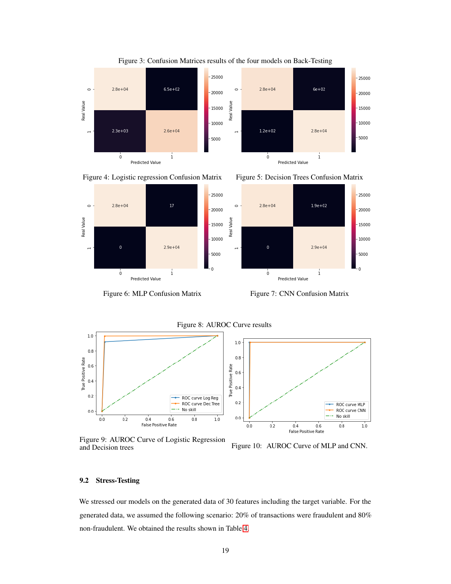





 $2.8e + 04$ 

 $\dot{\mathbf{0}}$ 

 $\circ$ 

 $\rightarrow$ 

Real Value



Predicted Value

 $2.9e + 04$ 

1

Figure 6: MLP Confusion Matrix Figure 7: CNN Confusion Matrix

Figure 8: AUROC Curve results





Figure 9: AUROC Curve of Logistic Regression

Figure 10: AUROC Curve of MLP and CNN.

#### 9.2 Stress-Testing

We stressed our models on the generated data of 30 features including the target variable. For the generated data, we assumed the following scenario: 20% of transactions were fraudulent and 80% non-fraudulent. We obtained the results shown in Table 4.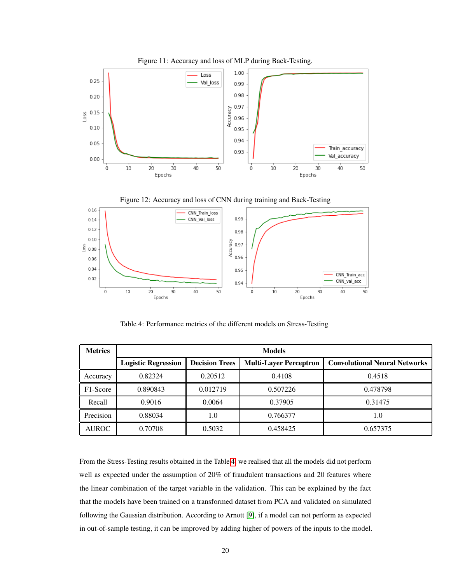





Table 4: Performance metrics of the different models on Stress-Testing

| <b>Metrics</b>        | <b>Models</b>              |                       |                               |                                      |
|-----------------------|----------------------------|-----------------------|-------------------------------|--------------------------------------|
|                       | <b>Logistic Regression</b> | <b>Decision Trees</b> | <b>Multi-Layer Perceptron</b> | <b>Convolutional Neural Networks</b> |
| Accuracy              | 0.82324                    | 0.20512               | 0.4108                        | 0.4518                               |
| F <sub>1</sub> -Score | 0.890843                   | 0.012719              | 0.507226                      | 0.478798                             |
| Recall                | 0.9016                     | 0.0064                | 0.37905                       | 0.31475                              |
| Precision             | 0.88034                    | 1.0                   | 0.766377                      | 1.0                                  |
| <b>AUROC</b>          | 0.70708                    | 0.5032                | 0.458425                      | 0.657375                             |

From the Stress-Testing results obtained in the Table 4, we realised that all the models did not perform well as expected under the assumption of 20% of fraudulent transactions and 20 features where the linear combination of the target variable in the validation. This can be explained by the fact that the models have been trained on a transformed dataset from PCA and validated on simulated following the Gaussian distribution. According to Arnott [9], if a model can not perform as expected in out-of-sample testing, it can be improved by adding higher of powers of the inputs to the model.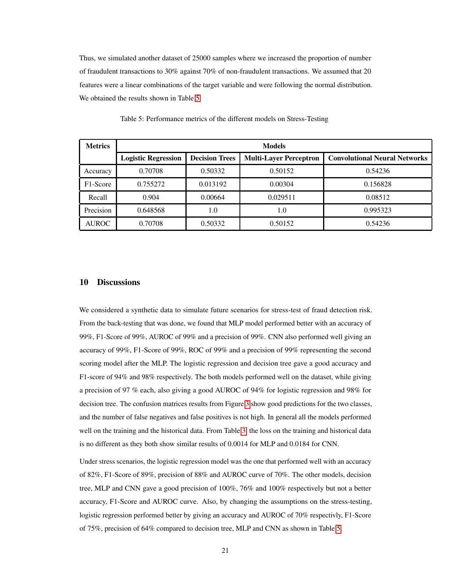Thus, we simulated another dataset of 25000 samples where we increased the proportion of number of fraudulent transactions to 30% against 70% of non-fraudulent transactions. We assumed that 20 features were a linear combinations of the target variable and were following the normal distribution. We obtained the results shown in Table 5.

| <b>Metrics</b> | <b>Models</b>              |                       |                               |                                      |
|----------------|----------------------------|-----------------------|-------------------------------|--------------------------------------|
|                | <b>Logistic Regression</b> | <b>Decision Trees</b> | <b>Multi-Layer Perceptron</b> | <b>Convolutional Neural Networks</b> |
| Accuracy       | 0.70708                    | 0.50332               | 0.50152                       | 0.54236                              |
| F1-Score       | 0.755272                   | 0.013192              | 0.00304                       | 0.156828                             |
| Recall         | 0.904                      | 0.00664               | 0.029511                      | 0.08512                              |
| Precision      | 0.648568                   | 1.0                   | 1.0                           | 0.995323                             |
| <b>AUROC</b>   | 0.70708                    | 0.50332               | 0.50152                       | 0.54236                              |

Table 5: Performance metrics of the different models on Stress-Testing

#### 10 Discussions

We considered a synthetic data to simulate future scenarios for stress-test of fraud detection risk. From the back-testing that was done, we found that MLP model performed better with an accuracy of 99%, F1-Score of 99%, AUROC of 99% and a precision of 99%. CNN also performed well giving an accuracy of 99%, F1-Score of 99%, ROC of 99% and a precision of 99% representing the second scoring model after the MLP. The logistic regression and decision tree gave a good accuracy and F1-score of 94% and 98% respectively. The both models performed well on the dataset, while giving a precision of 97 % each, also giving a good AUROC of 94% for logistic regression and 98% for decision tree. The confusion matrices results from Figure 3 show good predictions for the two classes, and the number of false negatives and false positives is not high. In general all the models performed well on the training and the historical data. From Table 3, the loss on the training and historical data is no different as they both show similar results of 0.0014 for MLP and 0.0184 for CNN.

Under stress scenarios, the logistic regression model was the one that performed well with an accuracy of 82%, F1-Score of 89%, precision of 88% and AUROC curve of 70%. The other models, decision tree, MLP and CNN gave a good precision of 100%, 76% and 100% respectively but not a better accuracy, F1-Score and AUROC curve. Also, by changing the assumptions on the stress-testing, logistic regression performed better by giving an accuracy and AUROC of 70% respectivly, F1-Score of 75%, precision of 64% compared to decision tree, MLP and CNN as shown in Table 5.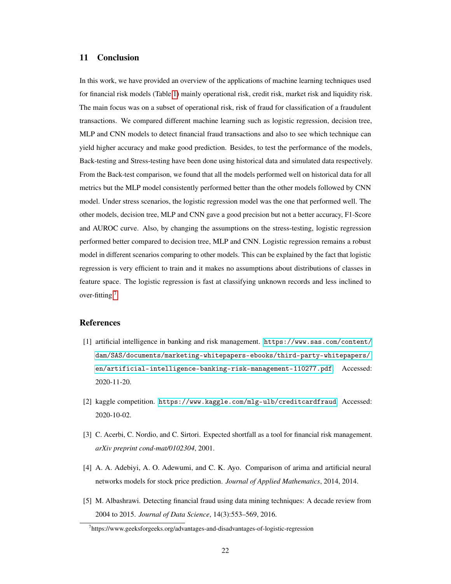# 11 Conclusion

In this work, we have provided an overview of the applications of machine learning techniques used for financial risk models (Table 1) mainly operational risk, credit risk, market risk and liquidity risk. The main focus was on a subset of operational risk, risk of fraud for classification of a fraudulent transactions. We compared different machine learning such as logistic regression, decision tree, MLP and CNN models to detect financial fraud transactions and also to see which technique can yield higher accuracy and make good prediction. Besides, to test the performance of the models, Back-testing and Stress-testing have been done using historical data and simulated data respectively. From the Back-test comparison, we found that all the models performed well on historical data for all metrics but the MLP model consistently performed better than the other models followed by CNN model. Under stress scenarios, the logistic regression model was the one that performed well. The other models, decision tree, MLP and CNN gave a good precision but not a better accuracy, F1-Score and AUROC curve. Also, by changing the assumptions on the stress-testing, logistic regression performed better compared to decision tree, MLP and CNN. Logistic regression remains a robust model in different scenarios comparing to other models. This can be explained by the fact that logistic regression is very efficient to train and it makes no assumptions about distributions of classes in feature space. The logistic regression is fast at classifying unknown records and less inclined to over-fitting  $<sup>7</sup>$ .</sup>

## References

- [1] artificial intelligence in banking and risk management. [https://www.sas.com/content/](https://www.sas.com/content/dam/SAS/documents/marketing-whitepapers-ebooks/third-party-whitepapers/en/artificial-intelligence-banking-risk-management-110277.pdf) [dam/SAS/documents/marketing-whitepapers-ebooks/third-party-whitepapers/](https://www.sas.com/content/dam/SAS/documents/marketing-whitepapers-ebooks/third-party-whitepapers/en/artificial-intelligence-banking-risk-management-110277.pdf) [en/artificial-intelligence-banking-risk-management-110277.pdf](https://www.sas.com/content/dam/SAS/documents/marketing-whitepapers-ebooks/third-party-whitepapers/en/artificial-intelligence-banking-risk-management-110277.pdf). Accessed: 2020-11-20.
- [2] kaggle competition. <https://www.kaggle.com/mlg-ulb/creditcardfraud>. Accessed: 2020-10-02.
- [3] C. Acerbi, C. Nordio, and C. Sirtori. Expected shortfall as a tool for financial risk management. *arXiv preprint cond-mat/0102304*, 2001.
- [4] A. A. Adebiyi, A. O. Adewumi, and C. K. Ayo. Comparison of arima and artificial neural networks models for stock price prediction. *Journal of Applied Mathematics*, 2014, 2014.
- [5] M. Albashrawi. Detecting financial fraud using data mining techniques: A decade review from 2004 to 2015. *Journal of Data Science*, 14(3):553–569, 2016.

<sup>&</sup>lt;sup>7</sup>https://www.geeksforgeeks.org/advantages-and-disadvantages-of-logistic-regression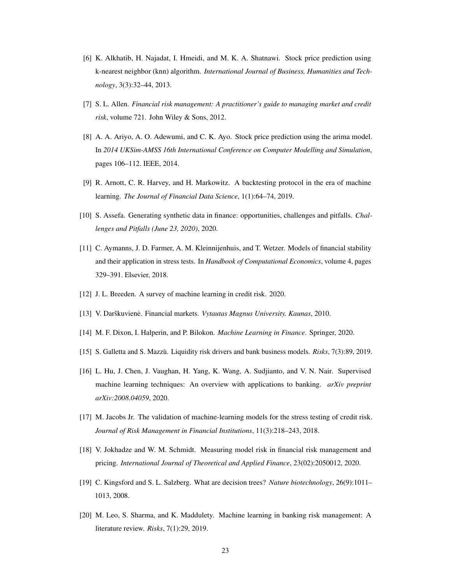- [6] K. Alkhatib, H. Najadat, I. Hmeidi, and M. K. A. Shatnawi. Stock price prediction using k-nearest neighbor (knn) algorithm. *International Journal of Business, Humanities and Technology*, 3(3):32–44, 2013.
- [7] S. L. Allen. *Financial risk management: A practitioner's guide to managing market and credit risk*, volume 721. John Wiley & Sons, 2012.
- [8] A. A. Ariyo, A. O. Adewumi, and C. K. Ayo. Stock price prediction using the arima model. In *2014 UKSim-AMSS 16th International Conference on Computer Modelling and Simulation*, pages 106–112. IEEE, 2014.
- [9] R. Arnott, C. R. Harvey, and H. Markowitz. A backtesting protocol in the era of machine learning. *The Journal of Financial Data Science*, 1(1):64–74, 2019.
- [10] S. Assefa. Generating synthetic data in finance: opportunities, challenges and pitfalls. *Challenges and Pitfalls (June 23, 2020)*, 2020.
- [11] C. Aymanns, J. D. Farmer, A. M. Kleinnijenhuis, and T. Wetzer. Models of financial stability and their application in stress tests. In *Handbook of Computational Economics*, volume 4, pages 329–391. Elsevier, 2018.
- [12] J. L. Breeden. A survey of machine learning in credit risk. 2020.
- [13] V. Darškuviene. Financial markets. ˙ *Vytautas Magnus University. Kaunas*, 2010.
- [14] M. F. Dixon, I. Halperin, and P. Bilokon. *Machine Learning in Finance*. Springer, 2020.
- [15] S. Galletta and S. Mazzù. Liquidity risk drivers and bank business models. *Risks*, 7(3):89, 2019.
- [16] L. Hu, J. Chen, J. Vaughan, H. Yang, K. Wang, A. Sudjianto, and V. N. Nair. Supervised machine learning techniques: An overview with applications to banking. *arXiv preprint arXiv:2008.04059*, 2020.
- [17] M. Jacobs Jr. The validation of machine-learning models for the stress testing of credit risk. *Journal of Risk Management in Financial Institutions*, 11(3):218–243, 2018.
- [18] V. Jokhadze and W. M. Schmidt. Measuring model risk in financial risk management and pricing. *International Journal of Theoretical and Applied Finance*, 23(02):2050012, 2020.
- [19] C. Kingsford and S. L. Salzberg. What are decision trees? *Nature biotechnology*, 26(9):1011– 1013, 2008.
- [20] M. Leo, S. Sharma, and K. Maddulety. Machine learning in banking risk management: A literature review. *Risks*, 7(1):29, 2019.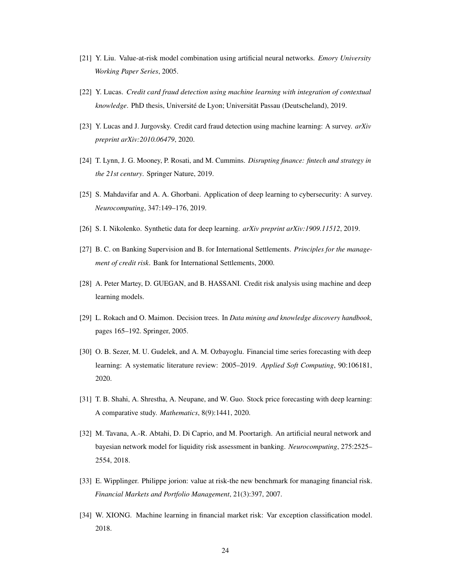- [21] Y. Liu. Value-at-risk model combination using artificial neural networks. *Emory University Working Paper Series*, 2005.
- [22] Y. Lucas. *Credit card fraud detection using machine learning with integration of contextual knowledge*. PhD thesis, Université de Lyon; Universität Passau (Deutscheland), 2019.
- [23] Y. Lucas and J. Jurgovsky. Credit card fraud detection using machine learning: A survey. *arXiv preprint arXiv:2010.06479*, 2020.
- [24] T. Lynn, J. G. Mooney, P. Rosati, and M. Cummins. *Disrupting finance: fintech and strategy in the 21st century*. Springer Nature, 2019.
- [25] S. Mahdavifar and A. A. Ghorbani. Application of deep learning to cybersecurity: A survey. *Neurocomputing*, 347:149–176, 2019.
- [26] S. I. Nikolenko. Synthetic data for deep learning. *arXiv preprint arXiv:1909.11512*, 2019.
- [27] B. C. on Banking Supervision and B. for International Settlements. *Principles for the management of credit risk*. Bank for International Settlements, 2000.
- [28] A. Peter Martey, D. GUEGAN, and B. HASSANI. Credit risk analysis using machine and deep learning models.
- [29] L. Rokach and O. Maimon. Decision trees. In *Data mining and knowledge discovery handbook*, pages 165–192. Springer, 2005.
- [30] O. B. Sezer, M. U. Gudelek, and A. M. Ozbayoglu. Financial time series forecasting with deep learning: A systematic literature review: 2005–2019. *Applied Soft Computing*, 90:106181, 2020.
- [31] T. B. Shahi, A. Shrestha, A. Neupane, and W. Guo. Stock price forecasting with deep learning: A comparative study. *Mathematics*, 8(9):1441, 2020.
- [32] M. Tavana, A.-R. Abtahi, D. Di Caprio, and M. Poortarigh. An artificial neural network and bayesian network model for liquidity risk assessment in banking. *Neurocomputing*, 275:2525– 2554, 2018.
- [33] E. Wipplinger. Philippe jorion: value at risk-the new benchmark for managing financial risk. *Financial Markets and Portfolio Management*, 21(3):397, 2007.
- [34] W. XIONG. Machine learning in financial market risk: Var exception classification model. 2018.